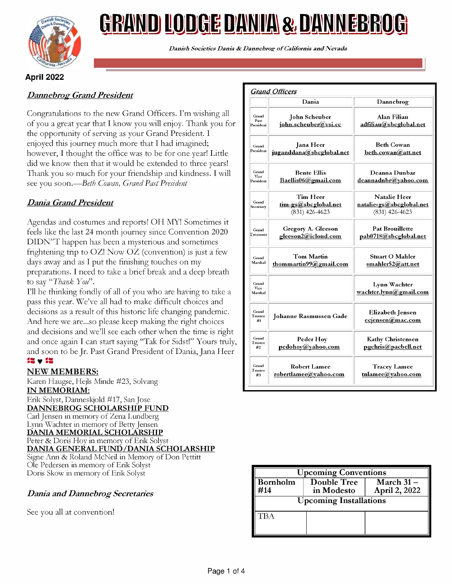

# <u>GRAND LODGE DANIA & DANNEBROG</u>

Danish Societies Dania & Dannebrog of California and Nevada

## April 2022

## Dannebrog Grand President

Congratulations to the new Grand Officers. I'm wishing all of you a great year that I know you will enjoy. Thank you for the opportunity of serving as your Grand President. I enjoyed this journey much more that I had imagined; however, I thought the office was to be for one year! Little did we know then that it would be extended to three years! Thank you so much for your friendship and kindness. I will see you soon.—Beth Cowan, Grand Past President

## Dania Grand President

Agendas and costumes and reports! OH MY! Sometimes it feels like the last 24 month journey since Convention 2020 DIDN"T happen has been a mysterious and sometimes frightening trip to OZ! Now OZ (convention) is just a few days away and as I put the finishing touches on my preparations. I need to take a brief break and a deep breath to say "Thank You".

I'll be thinking fondly of all of you who are having to take a pass this year. We've all had to make difficult choices and decisions as a result of this historic life changing pandemic. And here we are...so please keep making the right choices and decisions and we'll see each other when the time is right and once again I can start saying "Tak for Sidst!" Yours truly, and soon to be Jr. Past Grand President of Dania, Jana Heer  $\mathbf{S}\mathbf{v}$  11:

### NEW MEMBERS:

Karen Haugse, Hejls Minde #23, Solvang IN MEMORIAM: Erik Solyst, Danneskjold #17, San Jose DANNEBROG SCHOLARSHIP FUND Carl Jensen in memory of Zena Lundberg Lynn Wachter in memory of Betty Jensen DANIA MEMORIAL SCHOLARSHIP Peter & Doris Hoy in memory of Erik Solyst DANIA GENERAL FUND/DANIA SCHOLARSHIP

Signe Ann & Roland McNeil in Memory of Don Pettitt Ole Pedersen in memory of Erik Solyst Doris Skow in memory of Erik Solyst

## Dania and Dannebrog Secretaries

See you all at convention!

|                            | Dania                                                | Dannebrog                                                           |  |
|----------------------------|------------------------------------------------------|---------------------------------------------------------------------|--|
| Grand<br>Past<br>President | John Scheuber<br>john.scheuber@vsi.cc                | Alan Filiau<br>adfiliau@sbcglobal.net                               |  |
| Grand<br>President         | <b>Jana</b> Heer<br>juganddana@sbcglobal.net         | <b>Beth Cowan</b><br>beth.cowan@att.net                             |  |
| Grand<br>Vice<br>President | <b>Bente Ellis</b><br>Baellis06@gmail.com            | Deanna Dunbar<br>deannadnbr@yahoo.com                               |  |
| Grand<br>Secretary         | Tim Heer<br>tim-gs@sbcglobal.net<br>$(831)$ 426-4623 | <b>Natalie Heer</b><br>natalie-gs@sbcglobal.net<br>$(831)$ 426-4623 |  |
| Grand<br><b>Treasurer</b>  | Gregory A. Gleeson<br>gleeson2@icloud.com            | <b>Pat Brouillette</b><br>pab0718@sbcglobal.net                     |  |
| Grand<br>Marshal           | Tom Martin<br>thommartin99@gmail.com                 | <b>Stuart O Mahler</b><br>smahler52@att.net                         |  |
| Grand<br>Vice<br>Marshal   |                                                      | Lynn Wachter<br>wachter.lynn@gmail.com                              |  |
| Grand<br>Trustee<br>#1     | <b>Johanne Rasmussen Gade</b>                        | <b>Elizabeth Jensen</b><br>ecjensen@mac.com                         |  |
| Grand<br>Trustee<br>#2     | Peder Hoy<br>pedohov@yahoo.com                       | <b>Kathy Christensen</b><br>pgchris@pacbell.net                     |  |
| Grand<br>Trustee<br>#3     | <b>Robert Lamee</b><br>robertlamee@yahoo.com         | <b>Tracey Lamee</b><br>tnlamee@yahoo.com                            |  |

| <b>Upcoming Conventions</b>   |                                  |                                               |  |  |
|-------------------------------|----------------------------------|-----------------------------------------------|--|--|
| <b>Bornholm</b><br>414        | <b>Double Tree</b><br>in Modesto | $\overline{\text{March 31}}$<br>April 2, 2022 |  |  |
| <b>Upcoming Installations</b> |                                  |                                               |  |  |
| ГBA                           |                                  |                                               |  |  |
|                               |                                  |                                               |  |  |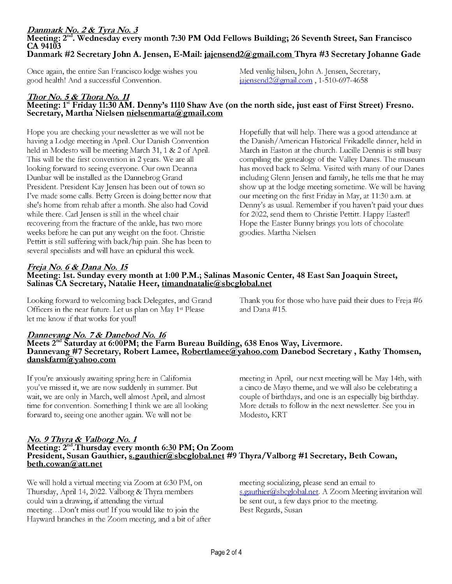### Danmark No. 2 & Tyra No. 3 Meeting:  $2<sup>nd</sup>$ . Wednesday every month 7:30 PM Odd Fellows Building; 26 Seventh Street, San Francisco CA 94103 Danmark #2 Secretary John A. Jensen, E -Mail: jajensend2@gmail.com Thyra #3 Secretary Johanne Gade

Once again, the entire San Francisco lodge wishes you Med venlig hilsen, John A. Jensen, Secretary, good health! And a successful Convention. jajensend2@gmail.com , 1-510-697-4658

## Thor No. 5 & Thora No. 11 Meeting: 1st Friday 11:30 AM. Denny's 1110 Shaw Ave (on the north side, just east of First Street) Fresno.<br>Secretary, Martha Nielsen nielsenmarta@gmail.com

Hope you are checking your newsletter as we will not be having a Lodge meeting in April. Our Danish Convention held in Modesto will be meeting March 31, 1 & 2 of April. This will be the first convention in 2 years. We are all looking forward to seeing everyone. Our own Deanna Dunbar will be installed as the Dannebrog Grand President. President Kay Jensen has been out of town so I've made some calls. Betty Green is doing better now that she's home from rehab after a month. She also had Covid while there. Carl Jensen is still in the wheel chair recovering from the fracture of the ankle, has two more weeks before he can put any weight on the foot. Christie Pettitt is still suffering with back/hip pain. She has been to several specialists and will have an epidural this week.

Hopefully that will help. There was a good attendance at the Danish/American Historical Frikadelle dinner, held in March in Easton at the church. Lucille Dennis is still busy compiling the genealogy of the Valley Danes. The museum has moved back to Selma. Visited with many of our Danes including Glenn Jensen and family, he tells me that he may show up at the lodge meeting sometime. We will be having our meeting on the first Friday in May, at 11:30 a.m. at Denny's as usual. Remember if you haven't paid your dues for 2022, send them to Christie Pettitt. Happy Easter!! Hope the Easter Bunny brings you lots of chocolate goodies. Martha Nielsen

## Freja No. 6 & Dana No. 15

## Meeting: 1st. Sunday every month at 1:00 P.M.; Salinas Masonic Center, 48 East San Joaquin Street, Salinas CA Secretary, Natalie Heer, timandnatalie@sbcglobal.net

Looking forward to welcoming back Delegates, and Grand Thank you for those who have paid their dues to Freja #6 Officers in the near future. Let us plan on May  $1^{st}$  Please and Dana #15. let me know if that works for you!!

## Dannevang No. 7 & Danebod No. 16<br>Meets 2<sup>nd</sup> Saturday at 6:00PM; the Farm Bureau Building, 638 Enos Way, Livermore. Dannevang #7 Secretary, Robert Lamee, <u>Robertlamee@yahoo.com</u> Danebod Secretary , Kathy Thomsen, danskfarm@yahoo.com

If you're anxiously awaiting spring here in California you've missed it, we are now suddenly in summer. But wait, we are only in March, well almost April, and almost time for convention. Something I think we are all looking forward to, seeing one another again. We will not be

meeting in April, our next meeting will be May 14th, with a cinco de Mayo theme, and we will also be celebrating a couple of birthdays, and one is an especially big birthday. More details to follow in the next newsletter. See you in Modesto, KRT

## No. 9 Thyra & Valborg No. 1<br>Meeting:  $2<sup>nd</sup>$ .Thursday every month 6:30 PM; On Zoom President, Susan Gauthier, s.gauthier@sbcglobal.net #9 Thyra/Valborg #1 Secretary, Beth Cowan, beth.cowan@att.net

We will hold a virtual meeting via Zoom at 6:30 PM, on Thursday, April 14, 2022. Valborg & Thyra members could win a drawing, if attending the virtual meeting...Don't miss out! If you would like to join the Hayward branches in the Zoom meeting, and a bit of after meeting socializing, please send an email to s.gauthier@sbcglobal.net. A Zoom Meeting invitation will be sent out, a few days prior to the meeting. Best Regards, Susan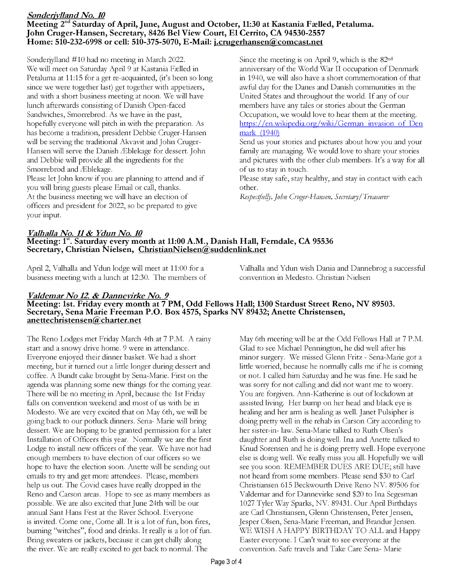### Sonderjylland No. 10 Meeting 2<sup>nd</sup> Saturday of April, June, August and October, 11:30 at Kastania Fælled, Petaluma. John Cruger-Hansen, Secretary, 8426 Bel View Court, El Cerrito, CA 94530-2557 Home: 510-232-6998 or cell: 510-375-5070, E -Mail: j.crugerhansen@comcast.net

Sonderjylland #10 had no meeting in March 2022. We will meet on Saturday April 9 at Kastania Falled in Petaluma at 11:15 for a get re -acquainted, (it's been so long since we were together last) get together with appetizers, and with a short business meeting at noon. We will have lunch afterwards consisting of Danish Open-faced Sandwiches, Smorrebrod. As we have in the past, hopefully everyone will pitch in with the preparation. As has become a tradition, president Debbie Cruger-Hansen will be serving the traditional Akvavit and John Cruger-Hansen will serve the Danish Æblekage for dessert. John and Debbie will provide all the ingredients for the Smørrebrød and Æblekage.

Please let John know if you are planning to attend and if you will bring guests please Email or call, thanks. At the business meeting we will have an election of officers and president for 2022, so be prepared to give your input.

Since the meeting is on April 9, which is the 82nd anniversary of the World War II occupation of Denmark in 1940, we will also have a short commemoration of that awful day for the Danes and Danish communities in the United States and throughout the world. If any of our members have any tales or stories about the German Occupation, we would love to hear them at the meeting. https://en.wikipedia.org/wiki/German invasion of Den mark (1940)

Send us your stories and pictures about how you and your family are managing. We would love to share your stories and pictures with the other club members. It's a way for all of us to stay in touch.

Please stay safe, stay healthy, and stay in contact with each other.

Respectfully, John Cruger-Hansen, Secretary/Treasurer

## Valhalla No. 11 & Ydun No. 10 Meeting: 1<sup>st</sup>. Saturday every month at 11:00 A.M., Danish Hall, Ferndale, CA 95536 Secretary, Christian Nielsen, ChristianNielsen@suddenlink.net

business meeting with a lunch at 12:30. The members of

April 2, Valhalla and Ydun lodge will meet at 11:00 for a Valhalla and Ydun wish Dania and Dannebrog a successful<br>business meeting with a lunch at 12:30. The members of convention in Medesto. Christian Nielsen

## Valdemar No 12 & Dannevirke No. 9 Meeting: 1st. Friday every month at 7 PM, Odd Fellows Hall; 1300 Stardust Street Reno, NV 89503. Secretary, Sena Marie Freeman P.O. Box 4575, Sparks NV 89432; Anette Christensen, anettechristensen@charter.net

The Reno Lodges met Friday March 4th at 7 P.M. A rainy start and a snowy drive home. 9 were in attendance. Everyone enjoyed their dinner basket. We had a short meeting, but it turned out a little longer during dessert and coffee. A Bundt cake brought by Sena -Marie. First on the agenda was planning some new things for the coming year. There will be no meeting in April, because the 1st Friday falls on convention weekend and most of us with be in Modesto. We are very excited that on May 6th, we will be going back to our potluck dinners. Sena- Marie will bring dessert. We are hoping to be granted permission for a later Installation of Officers this year. Normally we are the first Lodge to install new officers of the year. We have not had enough members to have election of our officers so we hope to have the election soon. Anette will be sending out emails to try and get more attendees. Please, members help us out. The Covid cases have really dropped in the Reno and Carson areas. Hope to see as many members as possible. We are also excited that June 24th will be our annual Sant Hans Fest at the River School. Everyone is invited. Come one, Come all. It is a lot of fun, bon fires, burning "witches", food and drinks. It really is a lot of fun. Bring sweaters or jackets, because it can get chilly along the river. We are really excited to get back to normal. The

May 6th meeting will be at the Odd Fellows Hall at 7 P.M. Glad to see Michael Pennington, he did well after his minor surgery. We missed Glenn Fritz - Sena -Marie got a little worried, because he normally calls me if he is coming or not. I called him Saturday and he was fine. He said he was sorry for not calling and did not want me to worry. You are forgiven. Ann -Katherine is out of lockdown at assisted living. Her bump on her head and black eye is healing and her arm is healing as well. Janet Pulsipher is doing pretty well in the rehab in Carson City according to her sister-in- law. Sena-Marie talked to Ruth Olsen's daughter and Ruth is doing well. Ina and Anette talked to Knud Sorensen and he is doing pretty well. Hope everyone else is doing well. We really miss you all. Hopefully we will see you soon. REMEMBER DUES ARE DUE; still have not heard from some members. Please send \$30 to Carl Christiansen 615 Beckwourth Drive Reno NV. 89506 for Valdemar and for Dannevirke send \$20 to Ina Segesman 1027 Tyler Way Sparks, NV. 89431. Our April Birthdays are Carl Christiansen, Glenn Christensen, Peter Jensen, Jesper Olsen, Sena -Marie Freeman, and Brandur Jensen. WE WISH A HAPPY BIRTHDAY TO ALL and Happy Easter everyone. I Can't wait to see everyone at the convention. Safe travels and Take Care Sena- Marie